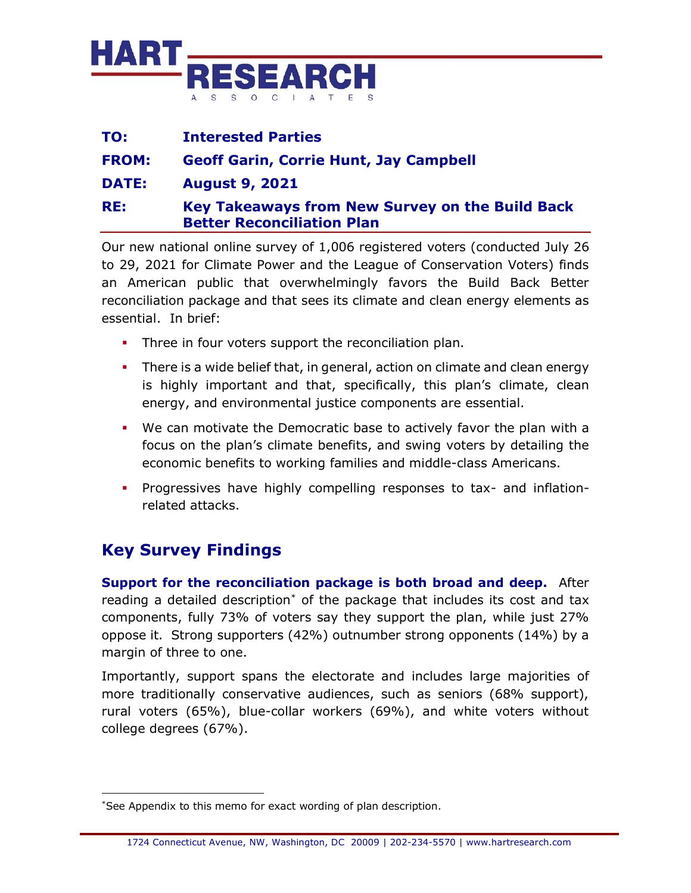

| TO:          | <b>Interested Parties</b>                                                            |
|--------------|--------------------------------------------------------------------------------------|
| <b>FROM:</b> | <b>Geoff Garin, Corrie Hunt, Jay Campbell</b>                                        |
| <b>DATE:</b> | <b>August 9, 2021</b>                                                                |
| RE:          | Key Takeaways from New Survey on the Build Back<br><b>Better Reconciliation Plan</b> |

Our new national online survey of 1,006 registered voters (conducted July 26 to 29, 2021 for Climate Power and the League of Conservation Voters) finds an American public that overwhelmingly favors the Build Back Better reconciliation package and that sees its climate and clean energy elements as essential. In brief:

- **•** Three in four voters support the reconciliation plan.
- **•** There is a wide belief that, in general, action on climate and clean energy is highly important and that, specifically, this plan's climate, clean energy, and environmental justice components are essential.
- We can motivate the Democratic base to actively favor the plan with a focus on the plan's climate benefits, and swing voters by detailing the economic benefits to working families and middle-class Americans.
- Progressives have highly compelling responses to tax- and inflationrelated attacks.

## **Key Survey Findings**

**Support for the reconciliation package is both broad and deep.** After reading a detailed description\* of the package that includes its cost and tax components, fully 73% of voters say they support the plan, while just 27% oppose it. Strong supporters (42%) outnumber strong opponents (14%) by a margin of three to one.

Importantly, support spans the electorate and includes large majorities of more traditionally conservative audiences, such as seniors (68% support), rural voters (65%), blue-collar workers (69%), and white voters without college degrees (67%).

<sup>\*</sup>See Appendix to this memo for exact wording of plan description.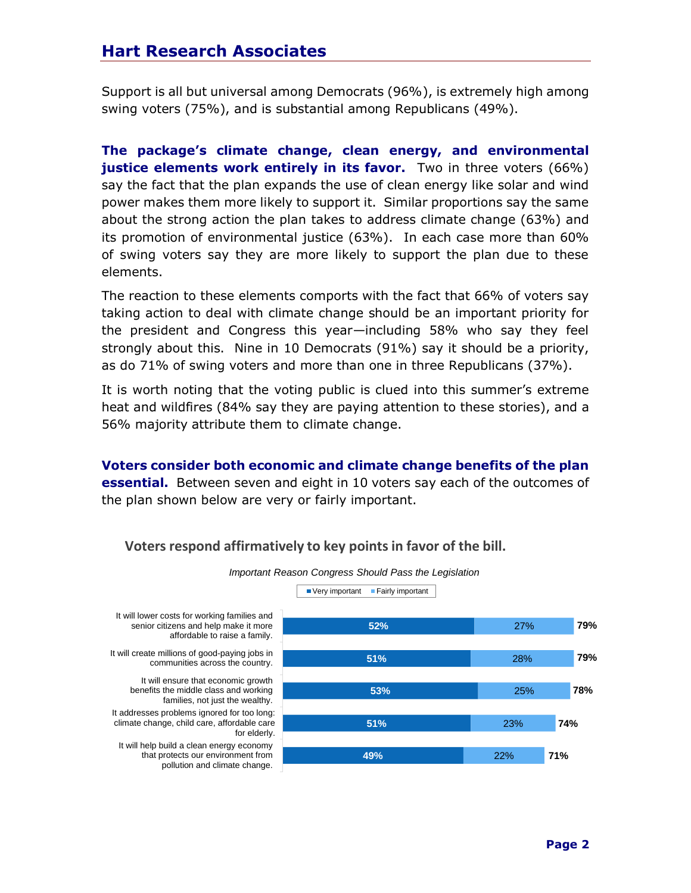Support is all but universal among Democrats (96%), is extremely high among swing voters (75%), and is substantial among Republicans (49%).

**The package's climate change, clean energy, and environmental justice elements work entirely in its favor.** Two in three voters (66%) say the fact that the plan expands the use of clean energy like solar and wind power makes them more likely to support it. Similar proportions say the same about the strong action the plan takes to address climate change (63%) and its promotion of environmental justice (63%). In each case more than 60% of swing voters say they are more likely to support the plan due to these elements.

The reaction to these elements comports with the fact that 66% of voters say taking action to deal with climate change should be an important priority for the president and Congress this year—including 58% who say they feel strongly about this. Nine in 10 Democrats (91%) say it should be a priority, as do 71% of swing voters and more than one in three Republicans (37%).

It is worth noting that the voting public is clued into this summer's extreme heat and wildfires (84% say they are paying attention to these stories), and a 56% majority attribute them to climate change.

**Voters consider both economic and climate change benefits of the plan essential.** Between seven and eight in 10 voters say each of the outcomes of the plan shown below are very or fairly important.



**Voters respond affirmatively to key points in favor of the bill.**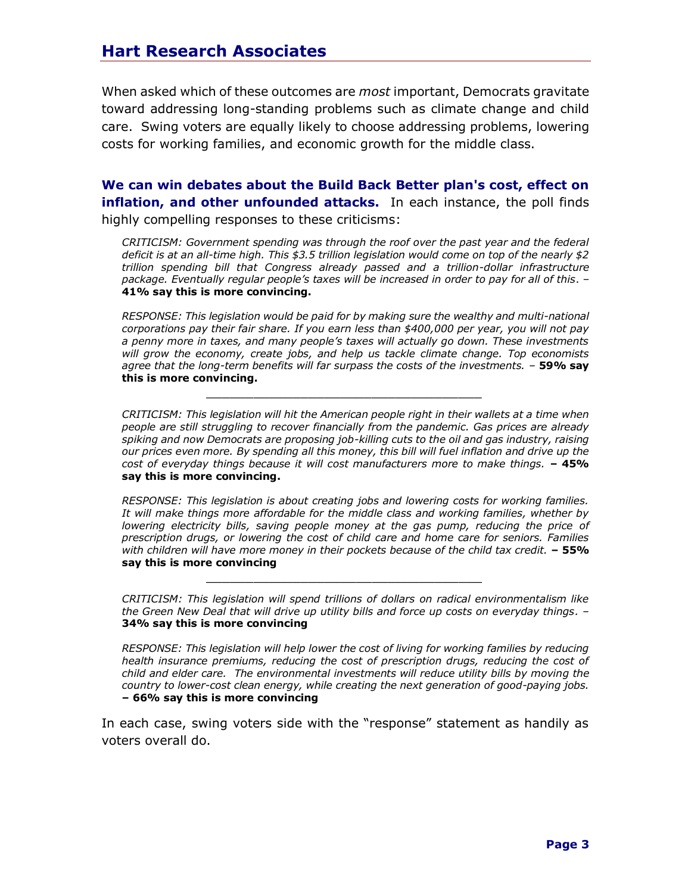When asked which of these outcomes are *most* important, Democrats gravitate toward addressing long-standing problems such as climate change and child care. Swing voters are equally likely to choose addressing problems, lowering costs for working families, and economic growth for the middle class.

**We can win debates about the Build Back Better plan's cost, effect on inflation, and other unfounded attacks.** In each instance, the poll finds highly compelling responses to these criticisms:

*CRITICISM: Government spending was through the roof over the past year and the federal deficit is at an all-time high. This \$3.5 trillion legislation would come on top of the nearly \$2 trillion spending bill that Congress already passed and a trillion-dollar infrastructure package. Eventually regular people's taxes will be increased in order to pay for all of this*. – **41% say this is more convincing.**

*RESPONSE: This legislation would be paid for by making sure the wealthy and multi-national corporations pay their fair share. If you earn less than \$400,000 per year, you will not pay a penny more in taxes, and many people's taxes will actually go down. These investments will grow the economy, create jobs, and help us tackle climate change. Top economists agree that the long-term benefits will far surpass the costs of the investments.* – **59% say this is more convincing.**

 $\mathcal{L}_\text{max}$  and  $\mathcal{L}_\text{max}$  and  $\mathcal{L}_\text{max}$  and  $\mathcal{L}_\text{max}$  and  $\mathcal{L}_\text{max}$ 

 $\mathcal{L}_\text{max}$  and  $\mathcal{L}_\text{max}$  and  $\mathcal{L}_\text{max}$  and  $\mathcal{L}_\text{max}$  and  $\mathcal{L}_\text{max}$ 

*CRITICISM: This legislation will hit the American people right in their wallets at a time when people are still struggling to recover financially from the pandemic. Gas prices are already spiking and now Democrats are proposing job-killing cuts to the oil and gas industry, raising our prices even more. By spending all this money, this bill will fuel inflation and drive up the cost of everyday things because it will cost manufacturers more to make things.* **– 45% say this is more convincing.**

*RESPONSE: This legislation is about creating jobs and lowering costs for working families. It will make things more affordable for the middle class and working families, whether by lowering electricity bills, saving people money at the gas pump, reducing the price of prescription drugs, or lowering the cost of child care and home care for seniors. Families with children will have more money in their pockets because of the child tax credit.* **– 55% say this is more convincing**

*CRITICISM: This legislation will spend trillions of dollars on radical environmentalism like the Green New Deal that will drive up utility bills and force up costs on everyday things.* – **34% say this is more convincing**

*RESPONSE: This legislation will help lower the cost of living for working families by reducing health insurance premiums, reducing the cost of prescription drugs, reducing the cost of child and elder care. The environmental investments will reduce utility bills by moving the country to lower-cost clean energy, while creating the next generation of good-paying jobs.* **– 66% say this is more convincing**

In each case, swing voters side with the "response" statement as handily as voters overall do.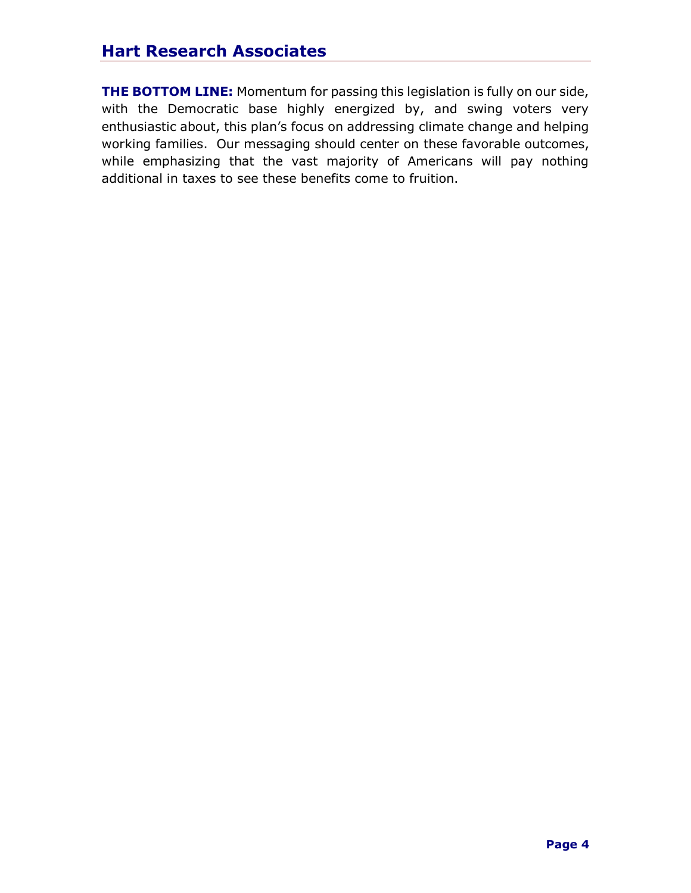## **Hart Research Associates**

**THE BOTTOM LINE:** Momentum for passing this legislation is fully on our side, with the Democratic base highly energized by, and swing voters very enthusiastic about, this plan's focus on addressing climate change and helping working families. Our messaging should center on these favorable outcomes, while emphasizing that the vast majority of Americans will pay nothing additional in taxes to see these benefits come to fruition.